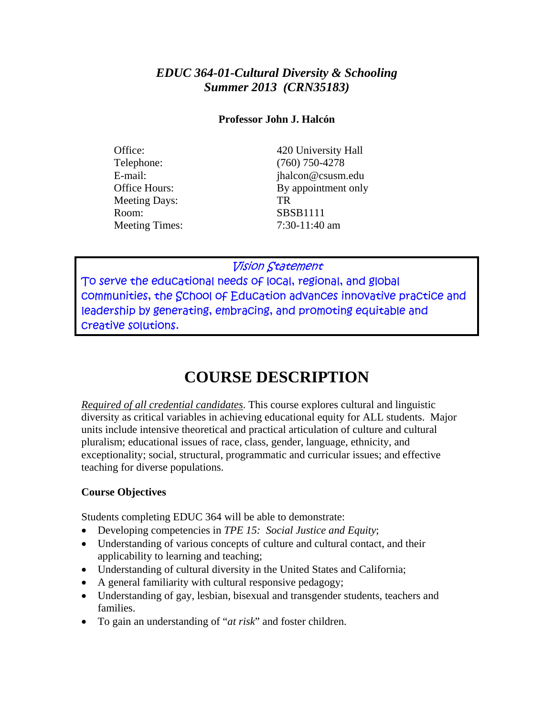#### *EDUC 364-01-Cultural Diversity & Schooling Summer 2013 (CRN35183)*

#### **Professor John J. Halcón**

Telephone: (760) 750-4278 Meeting Days: TR Room: SBSB1111 Meeting Times:  $7:30-11:40$  am

Office: 420 University Hall E-mail: ihalcon@csusm.edu Office Hours: By appointment only

#### Vision Statement

To serve the educational needs of local, regional, and global communities, the School of Education advances innovative practice and leadership by generating, embracing, and promoting equitable and creative solutions.

# **COURSE DESCRIPTION**

*Required of all credential candidates*. This course explores cultural and linguistic diversity as critical variables in achieving educational equity for ALL students. Major units include intensive theoretical and practical articulation of culture and cultural pluralism; educational issues of race, class, gender, language, ethnicity, and exceptionality; social, structural, programmatic and curricular issues; and effective teaching for diverse populations.

#### **Course Objectives**

Students completing EDUC 364 will be able to demonstrate:

- Developing competencies in *TPE 15: Social Justice and Equity*;
- Understanding of various concepts of culture and cultural contact, and their applicability to learning and teaching;
- Understanding of cultural diversity in the United States and California;
- A general familiarity with cultural responsive pedagogy;
- Understanding of gay, lesbian, bisexual and transgender students, teachers and families.
- To gain an understanding of "*at risk*" and foster children.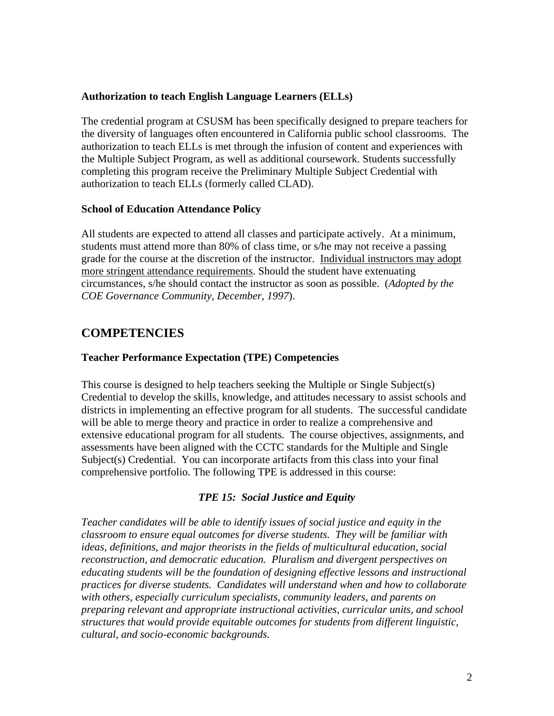#### **Authorization to teach English Language Learners (ELLs)**

The credential program at CSUSM has been specifically designed to prepare teachers for the diversity of languages often encountered in California public school classrooms. The authorization to teach ELLs is met through the infusion of content and experiences with the Multiple Subject Program, as well as additional coursework. Students successfully completing this program receive the Preliminary Multiple Subject Credential with authorization to teach ELLs (formerly called CLAD).

#### **School of Education Attendance Policy**

All students are expected to attend all classes and participate actively. At a minimum, students must attend more than 80% of class time, or s/he may not receive a passing grade for the course at the discretion of the instructor. Individual instructors may adopt more stringent attendance requirements. Should the student have extenuating circumstances, s/he should contact the instructor as soon as possible. (*Adopted by the COE Governance Community, December, 1997*).

#### **COMPETENCIES**

#### **Teacher Performance Expectation (TPE) Competencies**

This course is designed to help teachers seeking the Multiple or Single Subject(s) Credential to develop the skills, knowledge, and attitudes necessary to assist schools and districts in implementing an effective program for all students. The successful candidate will be able to merge theory and practice in order to realize a comprehensive and extensive educational program for all students. The course objectives, assignments, and assessments have been aligned with the CCTC standards for the Multiple and Single Subject(s) Credential. You can incorporate artifacts from this class into your final comprehensive portfolio. The following TPE is addressed in this course:

#### *TPE 15: Social Justice and Equity*

*Teacher candidates will be able to identify issues of social justice and equity in the classroom to ensure equal outcomes for diverse students. They will be familiar with ideas, definitions, and major theorists in the fields of multicultural education, social reconstruction, and democratic education. Pluralism and divergent perspectives on educating students will be the foundation of designing effective lessons and instructional practices for diverse students. Candidates will understand when and how to collaborate with others, especially curriculum specialists, community leaders, and parents on preparing relevant and appropriate instructional activities, curricular units, and school structures that would provide equitable outcomes for students from different linguistic, cultural, and socio-economic backgrounds.*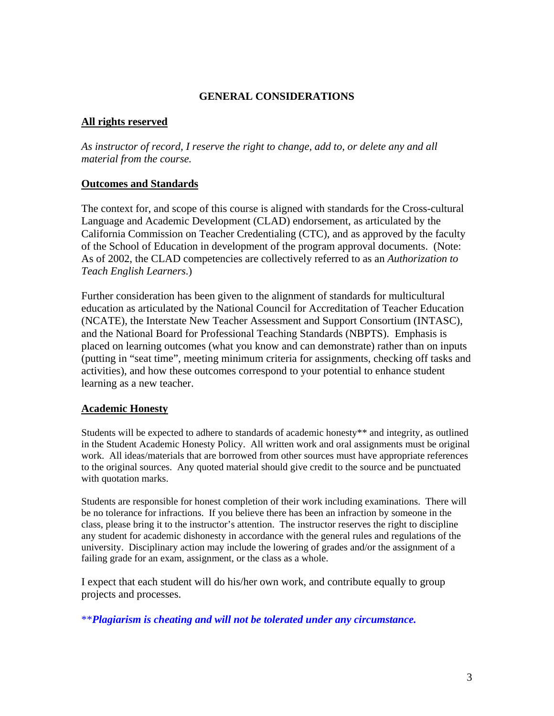#### **GENERAL CONSIDERATIONS**

#### **All rights reserved**

*As instructor of record, I reserve the right to change, add to, or delete any and all material from the course.* 

#### **Outcomes and Standards**

Teach English Learners.) The context for, and scope of this course is aligned with standards for the Cross-cultural Language and Academic Development (CLAD) endorsement, as articulated by the California Commission on Teacher Credentialing (CTC), and as approved by the faculty of the School of Education in development of the program approval documents. (Note: As of 2002, the CLAD competencies are collectively referred to as an *Authorization to* 

*Teach English Learners*.) Further consideration has been given to the alignment of standards for multicultural education as articulated by the National Council for Accreditation of Teacher Education (NCATE), the Interstate New Teacher Assessment and Support Consortium (INTASC), and the National Board for Professional Teaching Standards (NBPTS). Emphasis is placed on learning outcomes (what you know and can demonstrate) rather than on inputs (putting in "seat time", meeting minimum criteria for assignments, checking off tasks and activities), and how these outcomes correspond to your potential to enhance student learning as a new teacher.

#### **Academic Honesty**

Students will be expected to adhere to standards of academic honesty\*\* and integrity, as outlined in the Student Academic Honesty Policy. All written work and oral assignments must be original work. All ideas/materials that are borrowed from other sources must have appropriate references to the original sources. Any quoted material should give credit to the source and be punctuated with quotation marks.

Students are responsible for honest completion of their work including examinations. There will be no tolerance for infractions. If you believe there has been an infraction by someone in the class, please bring it to the instructor's attention. The instructor reserves the right to discipline any student for academic dishonesty in accordance with the general rules and regulations of the university. Disciplinary action may include the lowering of grades and/or the assignment of a failing grade for an exam, assignment, or the class as a whole.

I expect that each student will do his/her own work, and contribute equally to group projects and processes.

\*\**Plagiarism is cheating and will not be tolerated under any circumstance.*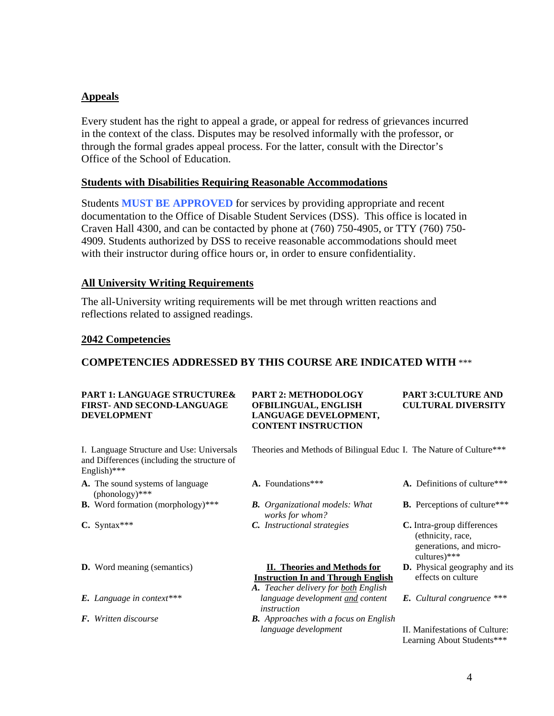#### **Appeals**

Every student has the right to appeal a grade, or appeal for redress of grievances incurred in the context of the class. Disputes may be resolved informally with the professor, or through the formal grades appeal process. For the latter, consult with the Director's Office of the School of Education.

#### **Students with Disabilities Requiring Reasonable Accommodations**

Students **MUST BE APPROVED** for services by providing appropriate and recent documentation to the Office of Disable Student Services (DSS). This office is located in Craven Hall 4300, and can be contacted by phone at (760) 750-4905, or TTY (760) 750 4909. Students authorized by DSS to receive reasonable accommodations should meet with their instructor during office hours or, in order to ensure confidentiality.

#### **All University Writing Requirements**

The all-University writing requirements will be met through written reactions and reflections related to assigned readings.

#### **2042 Competencies**

#### **COMPETENCIES ADDRESSED BY THIS COURSE ARE INDICATED WITH** \*\*\*

#### **PART 1: LANGUAGE STRUCTURE& PART 2: METHODOLOGY PART 3:CULTURE AND FIRST- AND SECOND-LANGUAGE OFBILINGUAL, ENGLISH CULTURAL DIVERSITY DEVELOPMENT LANGUAGE DEVELOPMENT,**

# **CONTENT INSTRUCTION**

and Differences (including the structure of English)\*\*\*

- **A.** The sound systems of language **A.** Foundations\*\*\* **A.** Definitions of culture\*\*\* (phonology)\*\*\*
- **B.** Word formation (morphology)\*\*\* *B. Organizational models: What* **B.** Perceptions of culture\*\*\*
- 
- 
- 
- 

I. Language Structure and Use: Universals Theories and Methods of Bilingual Educ I. The Nature of Culture\*\*\*

- 
- *works for whom?*
- **C.** Syntax\*\*\* *C. Instructional strategies* **C.** Intra-group differences

#### **D.** Word meaning (semantics) **II. Theories and Methods for D.** Physical geography and its **Instruction In and Through English** effects on culture

- *A. Teacher delivery for both English E. Language in context\*\*\* language development and content E. Cultural congruence \*\*\* instruction*
- *F. Written discourse B. Approaches with a focus on English*
- 
- 
- (ethnicity, race, generations, and microcultures)\*\*\*
- 
- 

II. Manifestations of Culture: *language development* II. Manifestations of Culture: Learning About Students\*\*\*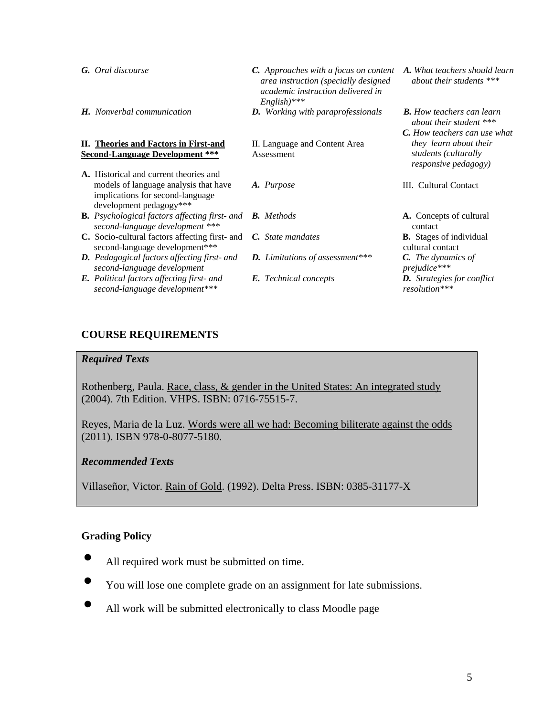| <b>G.</b> Oral discourse                                                                                         | <b>C.</b> Approaches with a focus on content<br>area instruction (specially designed<br>academic instruction delivered in<br>$English)$ *** | A. What teachers should learn<br>about their students ***     |
|------------------------------------------------------------------------------------------------------------------|---------------------------------------------------------------------------------------------------------------------------------------------|---------------------------------------------------------------|
| <b>H.</b> Nonverbal communication                                                                                | <b>D.</b> Working with paraprofessionals                                                                                                    | <b>B.</b> How teachers can learn<br>about their student $***$ |
|                                                                                                                  |                                                                                                                                             | <b>C.</b> How teachers can use what                           |
| II. Theories and Factors in First-and                                                                            | II. Language and Content Area                                                                                                               | they learn about their                                        |
| <b>Second-Language Development ***</b>                                                                           | Assessment                                                                                                                                  | students (culturally<br><i>responsive pedagogy</i> )          |
| A. Historical and current theories and                                                                           |                                                                                                                                             |                                                               |
| models of language analysis that have<br>implications for second-language<br>development pedagogy***             | A. Purpose                                                                                                                                  | III. Cultural Contact                                         |
| <b>B.</b> Psychological factors affecting first- and <b>B.</b> Methods<br>second-language development ***        |                                                                                                                                             | <b>A.</b> Concepts of cultural<br>contact                     |
| <b>C.</b> Socio-cultural factors affecting first- and <i>C. State mandates</i><br>second-language development*** |                                                                                                                                             | <b>B.</b> Stages of individual<br>cultural contact            |
| <b>D.</b> Pedagogical factors affecting first- and<br>second-language development                                | D. Limitations of assessment***                                                                                                             | <b>C.</b> The dynamics of<br>prejudice***                     |
| <b>E.</b> Political factors affecting first- and<br>second-language development***                               | <b>E.</b> Technical concepts                                                                                                                | <b>D.</b> Strategies for conflict<br>resolution***            |

#### **COURSE REQUIREMENTS**

#### *Required Texts*

Rothenberg, Paula. Race, class, & gender in the United States: An integrated study (2004). 7th Edition. VHPS. ISBN: 0716-75515-7.

Reyes, Maria de la Luz. Words were all we had: Becoming biliterate against the odds (2011). ISBN 978-0-8077-5180.

#### *Recommended Texts*

Villaseñor, Victor. Rain of Gold. (1992). Delta Press. ISBN: 0385-31177-X

#### **Grading Policy**

- All required work must be submitted on time.
- You will lose one complete grade on an assignment for late submissions.
- All work will be submitted electronically to class Moodle page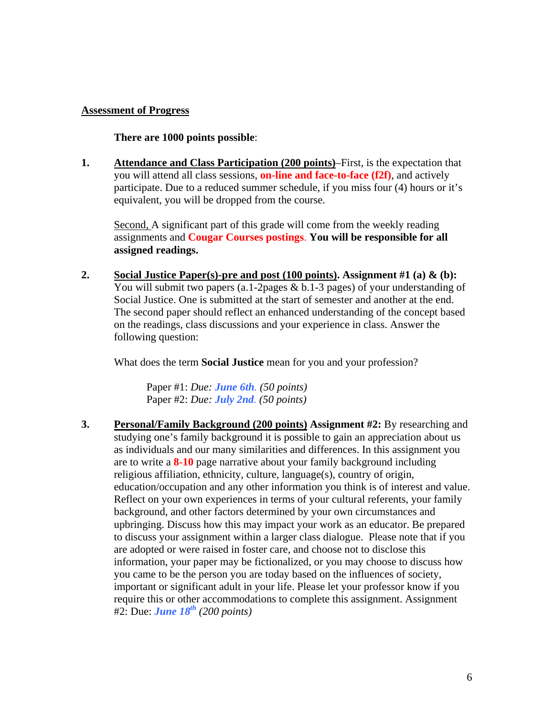#### **Assessment of Progress**

**There are 1000 points possible**:

**1. Attendance and Class Participation (200 points)**–First, is the expectation that you will attend all class sessions, **on-line and face-to-face (f2f)**, and actively participate. Due to a reduced summer schedule, if you miss four (4) hours or it's equivalent, you will be dropped from the course.

Second, A significant part of this grade will come from the weekly reading assignments and **Cougar Courses postings**. **You will be responsible for all assigned readings.** 

**2. Social Justice Paper(s)-pre and post (100 points). Assignment #1 (a) & (b):**  You will submit two papers (a.1-2pages & b.1-3 pages) of your understanding of Social Justice. One is submitted at the start of semester and another at the end. The second paper should reflect an enhanced understanding of the concept based on the readings, class discussions and your experience in class. Answer the following question:

What does the term **Social Justice** mean for you and your profession?

Paper #1: *Due: June 6th. (50 points)*  Paper #2: *Due: July 2nd. (50 points)* 

**3. Personal/Family Background (200 points) Assignment #2:** By researching and studying one's family background it is possible to gain an appreciation about us as individuals and our many similarities and differences. In this assignment you are to write a **8-10** page narrative about your family background including religious affiliation, ethnicity, culture, language(s), country of origin, education/occupation and any other information you think is of interest and value. Reflect on your own experiences in terms of your cultural referents, your family background, and other factors determined by your own circumstances and upbringing. Discuss how this may impact your work as an educator. Be prepared to discuss your assignment within a larger class dialogue. Please note that if you are adopted or were raised in foster care, and choose not to disclose this information, your paper may be fictionalized, or you may choose to discuss how you came to be the person you are today based on the influences of society, important or significant adult in your life. Please let your professor know if you require this or other accommodations to complete this assignment. Assignment #2: Due: *June 18th (200 points)*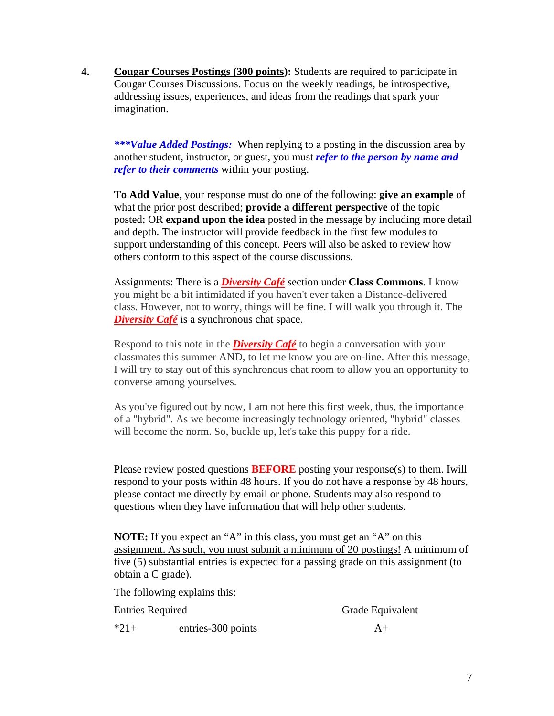imagination. **4. Cougar Courses Postings (300 points):** Students are required to participate in Cougar Courses Discussions. Focus on the weekly readings, be introspective, addressing issues, experiences, and ideas from the readings that spark your

*\*\*\*Value Added Postings:* When replying to a posting in the discussion area by another student, instructor, or guest, you must *refer to the person by name and refer to their comments* within your posting.

**To Add Value**, your response must do one of the following: **give an example** of what the prior post described; **provide a different perspective** of the topic posted; OR **expand upon the idea** posted in the message by including more detail and depth. The instructor will provide feedback in the first few modules to support understanding of this concept. Peers will also be asked to review how others conform to this aspect of the course discussions.

**Diversity Café** is a synchronous chat space. Assignments: There is a *Diversity Café* section under **Class Commons**. I know you might be a bit intimidated if you haven't ever taken a Distance-delivered class. However, not to worry, things will be fine. I will walk you through it. The

Respond to this note in the **Diversity Café** to begin a conversation with your classmates this summer AND, to let me know you are on-line. After this message, I will try to stay out of this synchronous chat room to allow you an opportunity to converse among yourselves.

As you've figured out by now, I am not here this first week, thus, the importance of a "hybrid". As we become increasingly technology oriented, "hybrid" classes will become the norm. So, buckle up, let's take this puppy for a ride.

Please review posted questions **BEFORE** posting your response(s) to them. Iwill respond to your posts within 48 hours. If you do not have a response by 48 hours, please contact me directly by email or phone. Students may also respond to questions when they have information that will help other students.

**NOTE:** If you expect an "A" in this class, you must get an "A" on this assignment. As such, you must submit a minimum of 20 postings! A minimum of five (5) substantial entries is expected for a passing grade on this assignment (to obtain a C grade).

The following explains this:

Entries Required Grade Equivalent

 $*21+$  entries-300 points  $A+$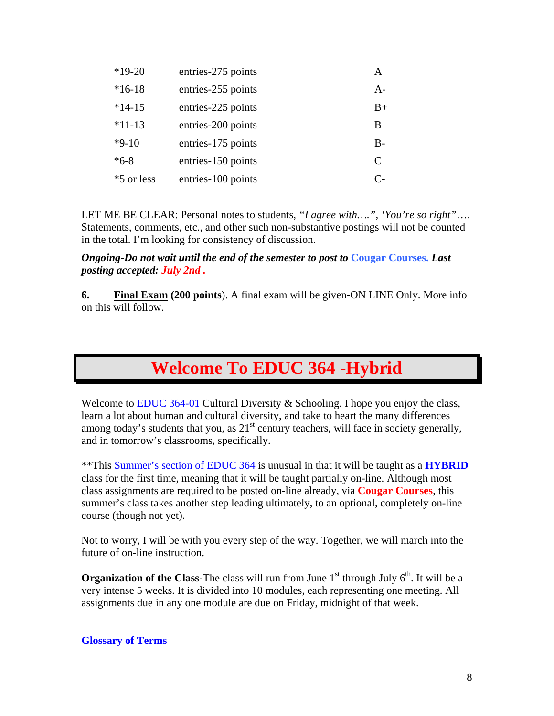| $*19-20$   | entries-275 points | A             |
|------------|--------------------|---------------|
| $*16-18$   | entries-255 points | $A-$          |
| $*14-15$   | entries-225 points | $B+$          |
| $*11-13$   | entries-200 points | В             |
| $*9-10$    | entries-175 points | $B-$          |
| $*6-8$     | entries-150 points | $\mathcal{C}$ |
| *5 or less | entries-100 points | $\mathsf{C}$  |

LET ME BE CLEAR: Personal notes to students, *"I agree with….", 'You're so right"*…. Statements, comments, etc., and other such non-substantive postings will not be counted in the total. I'm looking for consistency of discussion.

 *posting accepted: July 2nd . Ongoing-Do not wait until the end of the semester to post to* **Cougar Courses.** *Last* 

**6. Final Exam (200 points**). A final exam will be given-ON LINE Only. More info on this will follow.

# **Welcome To EDUC 364 -Hybrid**

Welcome to **EDUC** 364-01 Cultural Diversity  $\&$  Schooling. I hope you enjoy the class, learn a lot about human and cultural diversity, and take to heart the many differences among today's students that you, as  $21<sup>st</sup>$  century teachers, will face in society generally, and in tomorrow's classrooms, specifically.

\*\*This Summer's section of EDUC 364 is unusual in that it will be taught as a **HYBRID**  class for the first time, meaning that it will be taught partially on-line. Although most class assignments are required to be posted on-line already, via **Cougar Courses**, this summer's class takes another step leading ultimately, to an optional, completely on-line course (though not yet).

Not to worry, I will be with you every step of the way. Together, we will march into the future of on-line instruction.

**Organization of the Class-**The class will run from June  $1<sup>st</sup>$  through July  $6<sup>th</sup>$ . It will be a very intense 5 weeks. It is divided into 10 modules, each representing one meeting. All assignments due in any one module are due on Friday, midnight of that week.

#### **Glossary of Terms**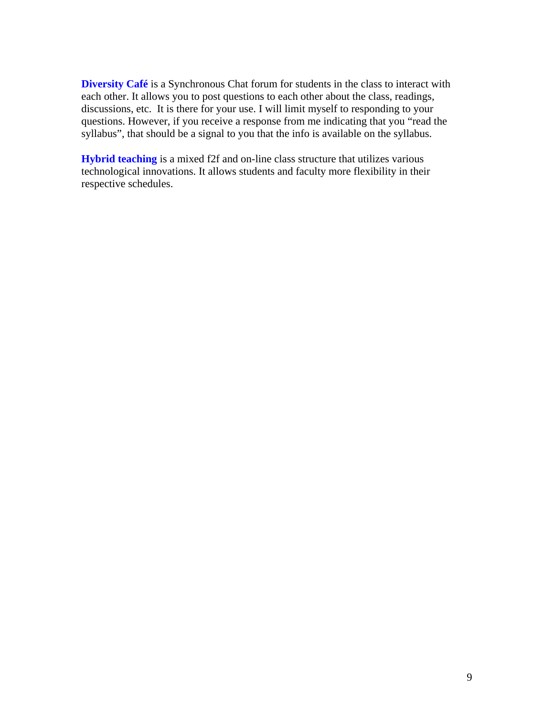**Diversity Café** is a Synchronous Chat forum for students in the class to interact with each other. It allows you to post questions to each other about the class, readings, discussions, etc. It is there for your use. I will limit myself to responding to your questions. However, if you receive a response from me indicating that you "read the syllabus", that should be a signal to you that the info is available on the syllabus.

**Hybrid teaching** is a mixed f2f and on-line class structure that utilizes various technological innovations. It allows students and faculty more flexibility in their respective schedules.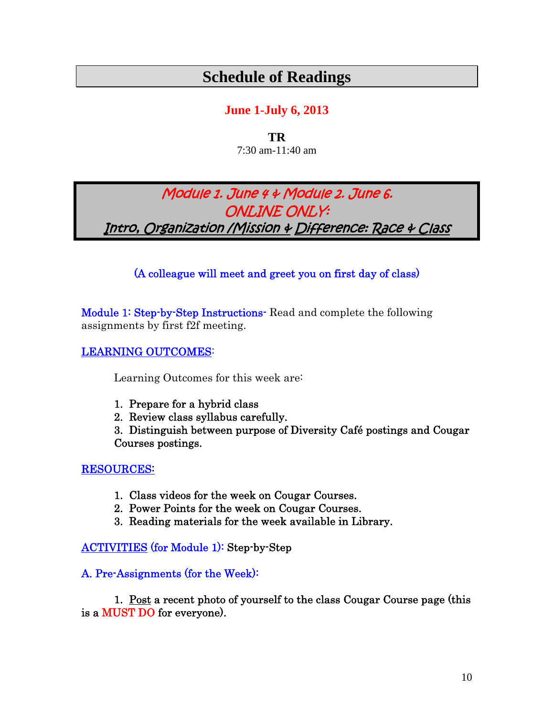# **Schedule of Readings**

### **June 1-July 6, 2013**

**TR**  7:30 am-11:40 am

## Module 1. June 4 & Module 2. June 6. ONLINE ONLY: Intro, Organization /Mission & Difference: Race & Class

#### (A colleague will meet and greet you on first day of class)

Module 1: Step-by-Step Instructions- Read and complete the following assignments by first f2f meeting.

#### LEARNING OUTCOMES:

Learning Outcomes for this week are:

- 1. Prepare for a hybrid class
- 2. Review class syllabus carefully.

3. Distinguish between purpose of Diversity Café postings and Cougar Courses postings.

#### RESOURCES:

- 1. Class videos for the week on Cougar Courses.
- 2. Power Points for the week on Cougar Courses.
- 3. Reading materials for the week available in Library.

ACTIVITIES (for Module 1): Step-by-Step

#### A. Pre-Assignments (for the Week):

1. Post a recent photo of yourself to the class Cougar Course page (this is a MUST DO for everyone).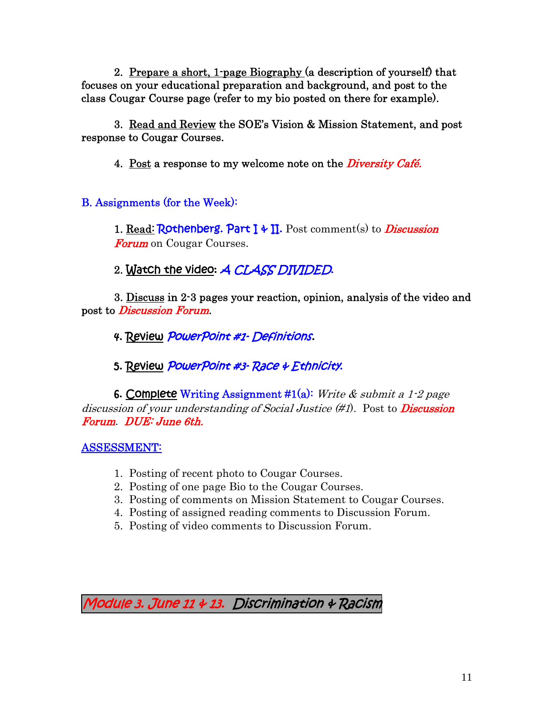2. Prepare a short, 1-page Biography (a description of yourself) that focuses on your educational preparation and background, and post to the class Cougar Course page (refer to my bio posted on there for example).

3. Read and Review the SOE's Vision & Mission Statement, and post response to Cougar Courses.

4. Post a response to my welcome note on the *Diversity Café*.

B. Assignments (for the Week):

**Forum** on Cougar Courses. 1. Read: Rothenberg. Part  $\mathbf{I} \uplus \mathbf{II}$ . Post comment(s) to *Discussion* 

*Forum* on Cougar Courses.<br>2. <mark>Watch the video</mark>: *A CLASS DIVIDED*.

3. Discuss in 2-3 pages your reaction, opinion, analysis of the video and post to *Discussion Forum*.

4. Review *PowerPoint #1- Definitions.* 

5. Review *PowerPoint #3- Race & Ethnicity*.

**6. Complete Writing Assignment #1(a):** Write & submit a 1-2 page discussion of your understanding of Social Justice  $(\#1)$ . Post to **Discussion** Forum. DUE: June 6th.

ASSESSMENT:

- 1. Posting of recent photo to Cougar Courses.
- 2. Posting of one page Bio to the Cougar Courses.
- 3. Posting of comments on Mission Statement to Cougar Courses.
- 4. Posting of assigned reading comments to Discussion Forum.
- 5. Posting of video comments to Discussion Forum.

Module 3. June 11 & 13. Discrimination & Racism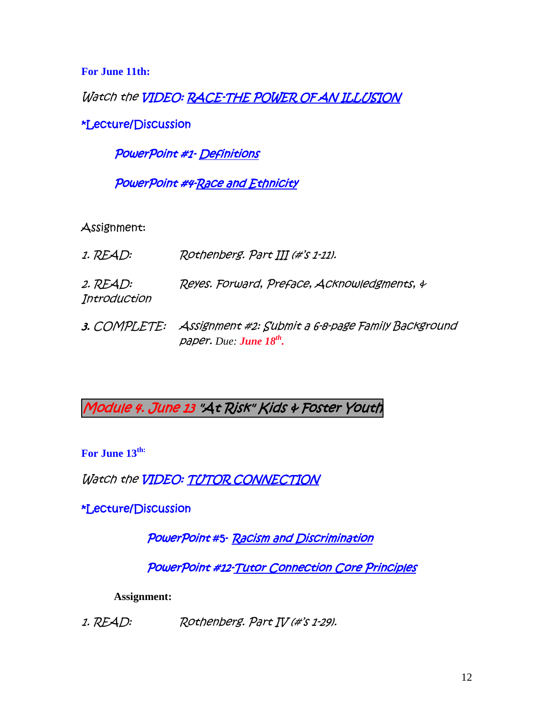**For June 11th:** 

Watch the **VIDEO: RACE-THE POWER OF AN ILLUSION** 

\*Lecture/Discussion

PowerPoint #1- Definitions

PowerPoint #4-Race and Ethnicity

Assignment:

1. READ: Rothenberg. Part III (#'s 1-11). 2. READ: Reyes. Forward, Preface, Acknowledgments, & **Introduction** 3. COMPLETE: Assignment #2: Submit a 6-8-page Family Background

Module 4. June 13 "At Risk" Kids & Foster Youth

paper. *Due: June 18th.* 

For June 13<sup>th:</sup>

Watch the **VIDEO: TUTOR CONNECTION** 

\*Lecture/Discussion

PowerPoint #5- Racism and Discrimination

PowerPoint #12-Tutor Connection Core Principles

**Assignment:** 

1. READ: Rothenberg. Part IV (#'s 1-29).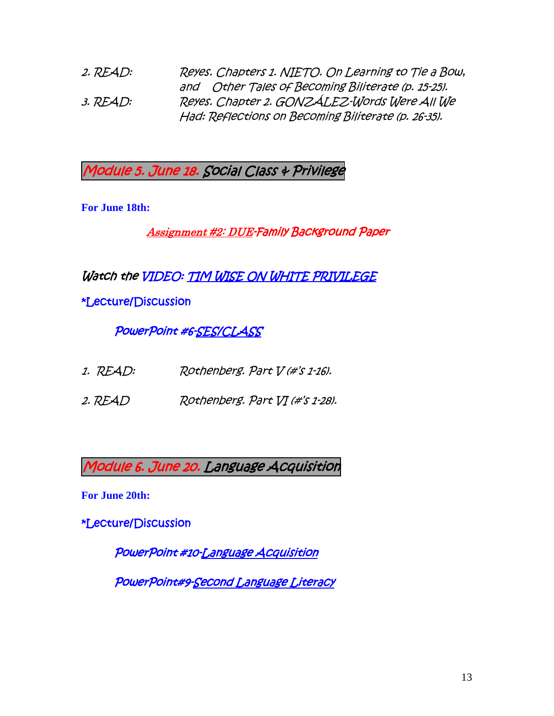and Other Tales of Becoming Biliterate (p. 15-25).  Had: Reflections on Becoming Biliterate (p. 26-35). 2. READ: Reyes. Chapters 1. NIETO. On Learning to Tie a Bow, 3. READ: Reyes. Chapter 2. GONZÁLEZ-Words Were All We

Module 5. June 18. Social Class & Privilege

**For June 18th:** 

Assignment #2: DUE-Family Background Paper

Watch the VIDEO: TIM WISE ON WHITE PRIVILEGE

\*Lecture/Discussion

PowerPoint #6-SES/CLASS

- 1. READ: Rothenberg. Part V (#'s 1-16).
- 2. READ Rothenberg. Part VI (#'s 1-28).

Module 6. June 20. Language Acquisition

**For June 20th:** 

\*Lecture/Discussion

PowerPoint #10-Language Acquisition

PowerPoint#9-Second Language Literacy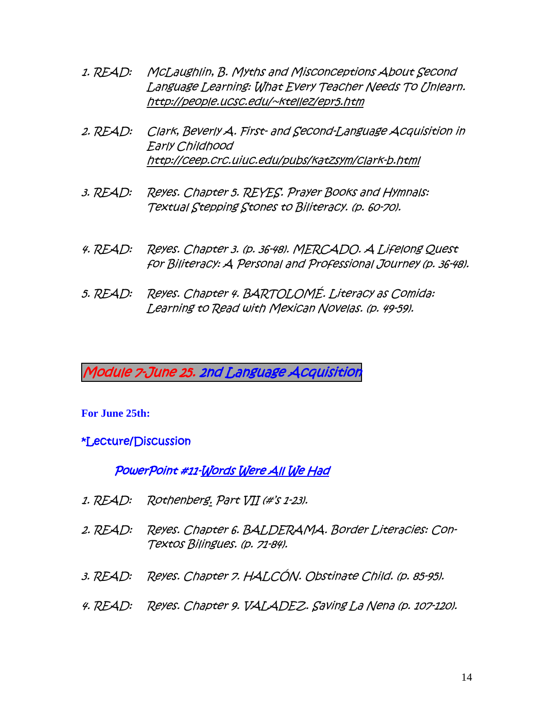- 1. READ: McLaughlin, B. Myths and Misconceptions About Second Language Learning: What Every Teacher Needs To Unlearn. http://people.ucsc.edu/~ktellez/epr5.htm
- 2. READ: Clark, Beverly A. First- and Second-Language Acquisition in Early Childhood http://ceep.crc.uiuc.edu/pubs/katzsym/clark-b.html
- 3. READ: Reyes. Chapter 5. REYES. Prayer Books and Hymnals: Textual Stepping Stones to Biliteracy. (p. 60-70).
- for Biliteracy: A Personal and Professional Journey (p. 36-48).
- 5. READ: Reyes. Chapter 4. BARTOLOMÉ. Literacy as Comida: Learning to Read with Mexican Novelas. (p. 49-59).

Module 7-June 25. 2nd Language Acquisition

#### **For June 25th:**

#### \*Lecture/Discussion

#### PowerPoint #11-Words Were All We Had

- 1. READ: Rothenberg. Part VII (#'s 1-23).
- 2. READ: Reyes. Chapter 6. BALDERAMA. Border Literacies: Con-Textos Bilingues. (p. 71-84). 4. READ: Reves. Chapter 3. (p. 3648). MERCADO. A Lifelong Quest<br>for Biliteracy: A Personal and Professional Journey (p. 36-48<br>5. READ: Reyes. Chapter 4. BARTOLOMÉ. Literacy as Comida:<br>Learning to Read with Mexican Novelas.
- 3. READ: Reyes. Chapter 7. HALCÓN. Obstinate Child. (p. 85-95).
- 4. READ: Reyes. Chapter 9. VALADEZ. Saving La Nena (p. 107-120).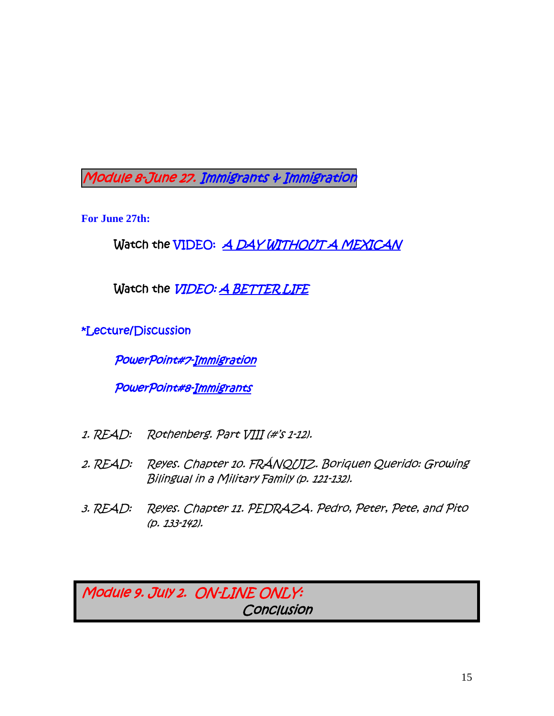Module 8-June 27. Immigrants & Immigration

**For June 27th:** 

Watch the VIDEO: <u>A DAY WITHOUT A MEXICAN</u>

Watch the VIDEO: A BETTER LIFE

\*Lecture/Discussion

PowerPoint#7-Immigration

PowerPoint#8-Immigrants

- 1. READ: Rothenberg. Part VIII (#'s 1-12).
- 2. READ: Reyes. Chapter 10. FRÁNQUIZ. Boriquen Querido: Growing Bilingual in a Military Family (p. 121-132).
- 3. READ: Reyes. Chapter 11. PEDRAZA. Pedro, Peter, Pete, and Pito (p. 133-142).

Module 9. July 2. ON-LINE ONLY: **Conclusion**